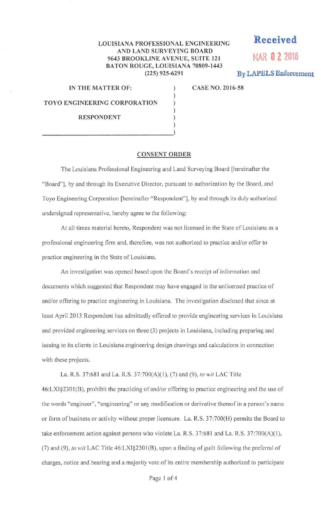## **LOUISIANA PROFESSIONAL ENGINEERING AND LAND SURVEYING BOARD 9643 BROOKLINE AVENUE, SUITE 121 MAR O 2 2018 BATON ROUGE, LOUISIANA 70809-1443 (225) 925-6291 By LAPELS Enforcement**

) ) ) ) ) **Received** 

**IN THE MATTER OF:** ) **CASE NO. 2016-58** 

**TOYO ENGINEERING CORPORATION** 

**RESPONDENT** 

## **CONSENT ORDER**

The Louisiana Professional Engineering and Land Surveying Board [hereinafter the "Board"], by and through its Executive Director, pursuant to authorization by the Board, and Toyo Engineering Corporation [hereinafter "Respondent"), by and through its duly authorized undersigned representative, hereby agree to the following:

At all times material hereto, Respondent was not licensed in the State of Louisiana as a professional engineering firm and, therefore, was not authorized to practice and/or offer to practice engineering in the State of Louisiana.

An investigation was opened based upon the Board's receipt of information and documents which suggested that Respondent may have engaged in the unlicensed practice of and/or offering to practice engineering in Louisiana. The investigation disclosed that since at least April 2013 Respondent has admittedly offered to provide engineering services in Louisiana and provided engineering services on three (3) projects in Louisiana, including preparing and issuing to its clients in Louisiana engineering design drawings and calculations in connection with these projects.

La. R.S. 37:68 1 and La. R.S. 37:700(A)(l), (7) and (9), *to wit* LAC Title 46:LXI§2301(B), prohibit the practicing of and/or offering to practice engineering and the use of the words "engineer", "engineering" or any modification or derivative thereof in a person's name or form of business or activity without proper licensure. La. R.S. 37:700(H) permits the Board to take enforcement action against persons who violate La. R.S. 37:681 and La. R.S. 37:700(A)(1), (7) and (9), *to wit* LAC Title 46:LXI§2301(B), upon a finding of guilt following the preferral of charges, notice and hearing and a majority vote of its entire membership authorized to participate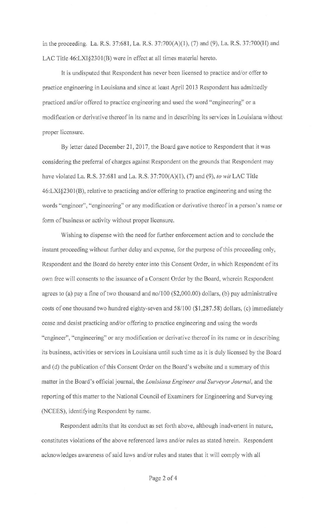in the proceeding. La. R.S. 37:681, La. R.S. 37:700(A)(l), (7) and (9), La. R.S. 37:700(H) and LAC Title 46:LXI§2301(B) were in effect at all times material hereto.

Jt is undisputed that Respondent has never been licensed to practice and/or offer to practice engineering in Louisiana and since at least April 2013 Respondent has admittedly practiced and/or offered to practice engineering and used the word "engineering" or a modification or derivative thereof in its name and in describing its services in Louisiana without proper licensure.

By letter dated December 21, 2017, the Board gave notice to Respondent that it was considering the preferral of charges against Respondent on the grounds that Respondent may have violated La. R.S. 37:681 and La. R.S. 37:700(A)(l), (7) and (9), *to wit* LAC Title 46:LXI§2301 (B), relative to practicing and/or offering to practice engineering and using the words "engineer", "engineering" or any modification or derivative thereof in a person's name or form of business or activity without proper licensure.

Wishing to dispense with the need for further enforcement action and to conclude the instant proceeding without further delay and expense, for the purpose of this proceeding only, Respondent and the Board do hereby enter into this Consent Order, in which Respondent of its own free will consents to the issuance of a Consent Order by the Board, wherein Respondent agrees to (a) pay a fine of two thousand and no/100 (\$2,000.00) dollars, (b) pay administrative costs of one thousand two hundred eighty-seven and 58/100 (\$1,287.58) dollars, (c) immediately cease and desist practicing and/or offering to practice engineering and using the words "engineer", "engineering" or any modification or derivative thereof in its name or in describing its business, activities or services in Louisiana until such time as it is duly licensed by the Board and (d) the publication of this Consent Order on the Board's website and a summary of this matter in the Board's official journal, the *Louisiana Engineer and Surveyor Journal,* and the reporting of this matter to the National Council of Examiners for Engineering and Surveying (NCEES), identifying Respondent by name.

Respondent admits that its conduct as set forth above, although inadvertent in nature, constitutes violations of the above referenced laws and/or rules as stated herein. Respondent acknowledges awareness of said laws and/or rules and states that it will comply with all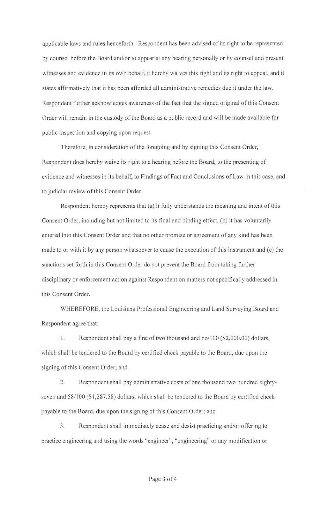applicable laws and rules henceforth. Respondent has been advised of its right to be represented by counsel before the Board and/or to appear at any hearing personally or by counsel and present witnesses and evidence in its own behalf, it hereby waives this right and its right to appeal, and it states affirmatively that it has been afforded all administrative remedies due it under the law. Respondent further acknowledges awareness of the fact that the signed original of this Consent Order will remain in the custody of the Board as a public record and will be made available for public inspection and copying upon request.

Therefore, in consideration of the foregoing and by signing this Consent Order, Respondent does hereby waive its right to a hearing before the Board, to the presenting of evidence and witnesses in its behalf, to Findings of Fact and Conclusions of Law in this case, and to judicial review of this Consent Order.

Respondent hereby represents that (a) it fully understands the meaning and intent of this Consent Order, including but not limited to its final and binding effect, (b) it has voluntarily entered into this Consent Order and that no other promise or agreement of any kind has been made to or with it by any person whatsoever to cause the execution of this instrument and (c) the sanctions set forth in this Consent Order do not prevent the Board from taking further disciplinary or enforcement action against Respondent on matters not specifically addressed in this Consent Order.

WHEREFORE, the Louisiana Professional Engineering and Land Surveying Board and Respondent agree that:

1. Respondent shall pay a fine of two thousand and no/100 (\$2,000.00) dollars, which shall be tendered to the Board by certified check payable to the Board, due upon the signing of this Consent Order; and

2. Respondent shall pay administrative costs of one thousand two hundred eightyseven and 58/100 (\$1,287.58) dollars, which shall be tendered to the Board by certified check payable to the Board, due upon the signing of this Consent Order; and

3. Respondent shall immediately cease and desist practicing and/or offering to practice engineering and using the words "engineer", "engineering'' or any modification or